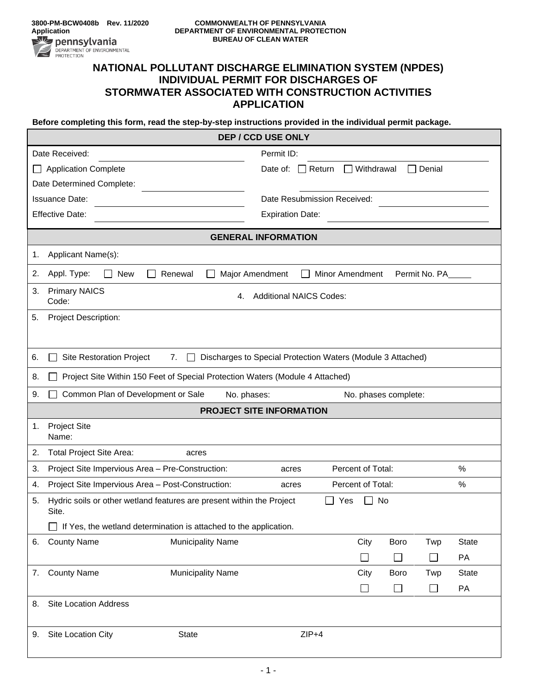## **NATIONAL POLLUTANT DISCHARGE ELIMINATION SYSTEM (NPDES) INDIVIDUAL PERMIT FOR DISCHARGES OF STORMWATER ASSOCIATED WITH CONSTRUCTION ACTIVITIES APPLICATION**

**Before completing this form, read the step-by-step instructions provided in the individual permit package.**

| <b>DEP / CCD USE ONLY</b>                                                            |                                                                    |  |  |  |  |
|--------------------------------------------------------------------------------------|--------------------------------------------------------------------|--|--|--|--|
| Date Received:                                                                       | Permit ID:                                                         |  |  |  |  |
| <b>Application Complete</b>                                                          | $\Box$ Withdrawal<br>$\square$ Denial<br>Date of:<br>$\Box$ Return |  |  |  |  |
| Date Determined Complete:                                                            |                                                                    |  |  |  |  |
| <b>Issuance Date:</b>                                                                | Date Resubmission Received:                                        |  |  |  |  |
| <b>Effective Date:</b>                                                               | <b>Expiration Date:</b>                                            |  |  |  |  |
| <b>GENERAL INFORMATION</b>                                                           |                                                                    |  |  |  |  |
| Applicant Name(s):<br>1.                                                             |                                                                    |  |  |  |  |
| Appl. Type:<br>2.<br><b>New</b><br>Renewal                                           | Major Amendment<br>Minor Amendment<br>Permit No. PA                |  |  |  |  |
| <b>Primary NAICS</b><br>3.<br>Code:                                                  | <b>Additional NAICS Codes:</b><br>4.                               |  |  |  |  |
| <b>Project Description:</b><br>5.                                                    |                                                                    |  |  |  |  |
|                                                                                      |                                                                    |  |  |  |  |
| <b>Site Restoration Project</b><br>6.<br>7.                                          | Discharges to Special Protection Waters (Module 3 Attached)        |  |  |  |  |
| Project Site Within 150 Feet of Special Protection Waters (Module 4 Attached)<br>8.  |                                                                    |  |  |  |  |
| Common Plan of Development or Sale<br>9.                                             | No. phases:<br>No. phases complete:                                |  |  |  |  |
|                                                                                      | <b>PROJECT SITE INFORMATION</b>                                    |  |  |  |  |
| <b>Project Site</b><br>1.<br>Name:                                                   |                                                                    |  |  |  |  |
| Total Project Site Area:<br>2.<br>acres                                              |                                                                    |  |  |  |  |
| Project Site Impervious Area - Pre-Construction:<br>3.                               | Percent of Total:<br>%<br>acres                                    |  |  |  |  |
| Project Site Impervious Area - Post-Construction:<br>4.                              | %<br>Percent of Total:<br>acres                                    |  |  |  |  |
| Hydric soils or other wetland features are present within the Project<br>5.<br>Site. | No<br>Yes                                                          |  |  |  |  |
| $\Box$ If Yes, the wetland determination is attached to the application.             |                                                                    |  |  |  |  |
| <b>County Name</b><br><b>Municipality Name</b><br>6.                                 | <b>State</b><br>City<br>Boro<br>Twp                                |  |  |  |  |
|                                                                                      | $\Box$<br>$\Box$<br>PA<br>П                                        |  |  |  |  |
| <b>County Name</b><br><b>Municipality Name</b><br>7.                                 | City<br>Boro<br><b>State</b><br>Twp                                |  |  |  |  |
|                                                                                      | $\Box$<br>$\Box$<br>$\Box$<br>PA                                   |  |  |  |  |
| <b>Site Location Address</b><br>8.                                                   |                                                                    |  |  |  |  |
| Site Location City<br><b>State</b><br>9.                                             | $ZIP+4$                                                            |  |  |  |  |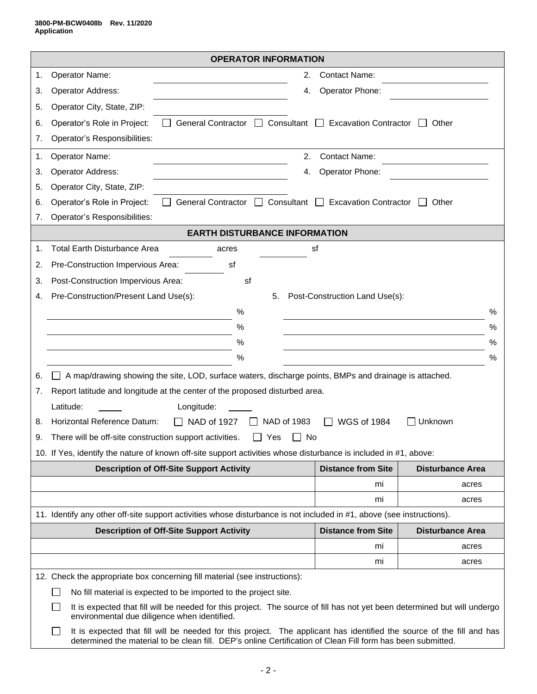|    | <b>OPERATOR INFORMATION</b>                                                                                                                                                                                                          |                                |                         |  |  |
|----|--------------------------------------------------------------------------------------------------------------------------------------------------------------------------------------------------------------------------------------|--------------------------------|-------------------------|--|--|
| 1. | Operator Name:                                                                                                                                                                                                                       | 2.<br><b>Contact Name:</b>     |                         |  |  |
| 3. | Operator Address:                                                                                                                                                                                                                    | Operator Phone:<br>4.          |                         |  |  |
| 5. | Operator City, State, ZIP:                                                                                                                                                                                                           |                                |                         |  |  |
| 6. | Operator's Role in Project:<br>General Contractor □ Consultant □ Excavation Contractor                                                                                                                                               |                                | Other                   |  |  |
| 7. | Operator's Responsibilities:                                                                                                                                                                                                         |                                |                         |  |  |
| 1. | Operator Name:                                                                                                                                                                                                                       | 2.<br><b>Contact Name:</b>     |                         |  |  |
| 3. | Operator Address:                                                                                                                                                                                                                    | Operator Phone:<br>4.          |                         |  |  |
| 5. | Operator City, State, ZIP:                                                                                                                                                                                                           |                                |                         |  |  |
| 6. | General Contractor □ Consultant □<br>Operator's Role in Project:                                                                                                                                                                     | <b>Excavation Contractor</b>   | Other                   |  |  |
| 7. | Operator's Responsibilities:                                                                                                                                                                                                         |                                |                         |  |  |
|    | <b>EARTH DISTURBANCE INFORMATION</b>                                                                                                                                                                                                 |                                |                         |  |  |
| 1. | <b>Total Earth Disturbance Area</b><br>acres                                                                                                                                                                                         | sf                             |                         |  |  |
| 2. | Pre-Construction Impervious Area:<br>sf                                                                                                                                                                                              |                                |                         |  |  |
| 3. | Post-Construction Impervious Area:<br>sf                                                                                                                                                                                             |                                |                         |  |  |
| 4. | Pre-Construction/Present Land Use(s):<br>5.                                                                                                                                                                                          | Post-Construction Land Use(s): |                         |  |  |
|    | %                                                                                                                                                                                                                                    |                                | %                       |  |  |
|    | %                                                                                                                                                                                                                                    |                                | %                       |  |  |
|    | %                                                                                                                                                                                                                                    |                                | %                       |  |  |
|    | %                                                                                                                                                                                                                                    |                                | %                       |  |  |
| 6. | A map/drawing showing the site, LOD, surface waters, discharge points, BMPs and drainage is attached.                                                                                                                                |                                |                         |  |  |
| 7. | Report latitude and longitude at the center of the proposed disturbed area.                                                                                                                                                          |                                |                         |  |  |
|    | Latitude:<br>Longitude:                                                                                                                                                                                                              |                                |                         |  |  |
| 8. | Horizontal Reference Datum:<br>NAD of 1927<br>NAD of 1983<br>$\mathsf{I}$                                                                                                                                                            | <b>WGS of 1984</b>             | Unknown                 |  |  |
| 9. | There will be off-site construction support activities.<br>Yes                                                                                                                                                                       | No                             |                         |  |  |
|    | 10. If Yes, identify the nature of known off-site support activities whose disturbance is included in #1, above:                                                                                                                     |                                |                         |  |  |
|    | <b>Description of Off-Site Support Activity</b>                                                                                                                                                                                      | <b>Distance from Site</b>      | <b>Disturbance Area</b> |  |  |
|    |                                                                                                                                                                                                                                      | mi                             | acres                   |  |  |
|    |                                                                                                                                                                                                                                      | mi                             | acres                   |  |  |
|    | 11. Identify any other off-site support activities whose disturbance is not included in #1, above (see instructions).                                                                                                                |                                |                         |  |  |
|    | <b>Description of Off-Site Support Activity</b>                                                                                                                                                                                      | <b>Distance from Site</b>      | <b>Disturbance Area</b> |  |  |
|    |                                                                                                                                                                                                                                      | mi                             | acres                   |  |  |
|    |                                                                                                                                                                                                                                      | mi                             | acres                   |  |  |
|    | 12. Check the appropriate box concerning fill material (see instructions):                                                                                                                                                           |                                |                         |  |  |
|    | No fill material is expected to be imported to the project site.                                                                                                                                                                     |                                |                         |  |  |
|    | It is expected that fill will be needed for this project. The source of fill has not yet been determined but will undergo<br>environmental due diligence when identified.                                                            |                                |                         |  |  |
|    | It is expected that fill will be needed for this project. The applicant has identified the source of the fill and has<br>determined the material to be clean fill. DEP's online Certification of Clean Fill form has been submitted. |                                |                         |  |  |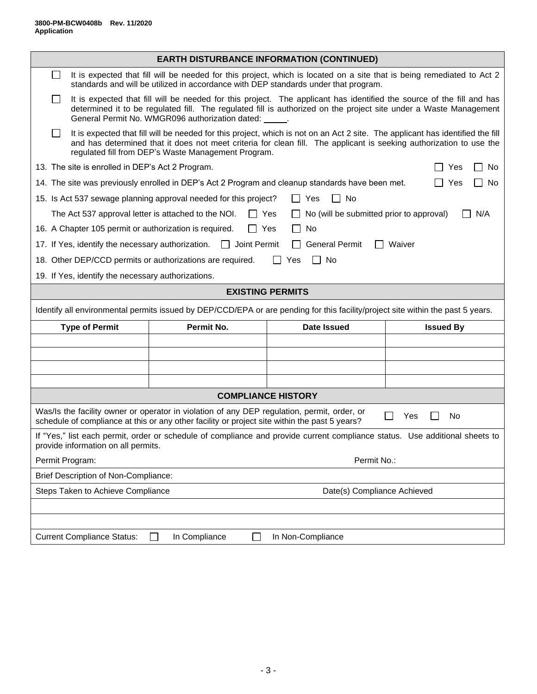|                                                                                                                                                                                                           |                                                                               |                                                                                                                                                                                                                                                                                                              | <b>EARTH DISTURBANCE INFORMATION (CONTINUED)</b> |  |  |
|-----------------------------------------------------------------------------------------------------------------------------------------------------------------------------------------------------------|-------------------------------------------------------------------------------|--------------------------------------------------------------------------------------------------------------------------------------------------------------------------------------------------------------------------------------------------------------------------------------------------------------|--------------------------------------------------|--|--|
| l 1                                                                                                                                                                                                       |                                                                               | It is expected that fill will be needed for this project, which is located on a site that is being remediated to Act 2<br>standards and will be utilized in accordance with DEP standards under that program.                                                                                                |                                                  |  |  |
|                                                                                                                                                                                                           |                                                                               | It is expected that fill will be needed for this project. The applicant has identified the source of the fill and has<br>determined it to be regulated fill. The regulated fill is authorized on the project site under a Waste Management<br>General Permit No. WMGR096 authorization dated: _____.         |                                                  |  |  |
|                                                                                                                                                                                                           |                                                                               | It is expected that fill will be needed for this project, which is not on an Act 2 site. The applicant has identified the fill<br>and has determined that it does not meet criteria for clean fill. The applicant is seeking authorization to use the<br>regulated fill from DEP's Waste Management Program. |                                                  |  |  |
| 13. The site is enrolled in DEP's Act 2 Program.<br>Yes<br>No<br>$\blacksquare$                                                                                                                           |                                                                               |                                                                                                                                                                                                                                                                                                              |                                                  |  |  |
| 14. The site was previously enrolled in DEP's Act 2 Program and cleanup standards have been met.<br>$\Box$ No<br>$\Box$<br>Yes                                                                            |                                                                               |                                                                                                                                                                                                                                                                                                              |                                                  |  |  |
|                                                                                                                                                                                                           |                                                                               | 15. Is Act 537 sewage planning approval needed for this project?                                                                                                                                                                                                                                             | $\Box$ No<br>Yes<br>$\Box$                       |  |  |
| The Act 537 approval letter is attached to the NOI.<br>$\Box$ Yes<br>No (will be submitted prior to approval)<br>N/A                                                                                      |                                                                               |                                                                                                                                                                                                                                                                                                              |                                                  |  |  |
|                                                                                                                                                                                                           | 16. A Chapter 105 permit or authorization is required.<br>No<br>$\Box$<br>Yes |                                                                                                                                                                                                                                                                                                              |                                                  |  |  |
| 17. If Yes, identify the necessary authorization.<br><br><br>Dioint Permit<br><b>General Permit</b><br>Waiver<br>$\perp$                                                                                  |                                                                               |                                                                                                                                                                                                                                                                                                              |                                                  |  |  |
| 18. Other DEP/CCD permits or authorizations are required.<br>No<br>Yes                                                                                                                                    |                                                                               |                                                                                                                                                                                                                                                                                                              |                                                  |  |  |
| 19. If Yes, identify the necessary authorizations.                                                                                                                                                        |                                                                               |                                                                                                                                                                                                                                                                                                              |                                                  |  |  |
| <b>EXISTING PERMITS</b>                                                                                                                                                                                   |                                                                               |                                                                                                                                                                                                                                                                                                              |                                                  |  |  |
| Identify all environmental permits issued by DEP/CCD/EPA or are pending for this facility/project site within the past 5 years.                                                                           |                                                                               |                                                                                                                                                                                                                                                                                                              |                                                  |  |  |
| Permit No.<br><b>Type of Permit</b><br><b>Date Issued</b><br><b>Issued By</b>                                                                                                                             |                                                                               |                                                                                                                                                                                                                                                                                                              |                                                  |  |  |
|                                                                                                                                                                                                           |                                                                               |                                                                                                                                                                                                                                                                                                              |                                                  |  |  |
|                                                                                                                                                                                                           |                                                                               |                                                                                                                                                                                                                                                                                                              |                                                  |  |  |
|                                                                                                                                                                                                           |                                                                               |                                                                                                                                                                                                                                                                                                              |                                                  |  |  |
| <b>COMPLIANCE HISTORY</b>                                                                                                                                                                                 |                                                                               |                                                                                                                                                                                                                                                                                                              |                                                  |  |  |
|                                                                                                                                                                                                           |                                                                               |                                                                                                                                                                                                                                                                                                              |                                                  |  |  |
| Was/Is the facility owner or operator in violation of any DEP regulation, permit, order, or<br>No<br>Yes<br>schedule of compliance at this or any other facility or project site within the past 5 years? |                                                                               |                                                                                                                                                                                                                                                                                                              |                                                  |  |  |
| If "Yes," list each permit, order or schedule of compliance and provide current compliance status. Use additional sheets to<br>provide information on all permits.                                        |                                                                               |                                                                                                                                                                                                                                                                                                              |                                                  |  |  |
|                                                                                                                                                                                                           | Permit Program:                                                               |                                                                                                                                                                                                                                                                                                              | Permit No.:                                      |  |  |
|                                                                                                                                                                                                           | <b>Brief Description of Non-Compliance:</b>                                   |                                                                                                                                                                                                                                                                                                              |                                                  |  |  |
|                                                                                                                                                                                                           | Steps Taken to Achieve Compliance                                             |                                                                                                                                                                                                                                                                                                              | Date(s) Compliance Achieved                      |  |  |
|                                                                                                                                                                                                           |                                                                               |                                                                                                                                                                                                                                                                                                              |                                                  |  |  |
|                                                                                                                                                                                                           |                                                                               |                                                                                                                                                                                                                                                                                                              |                                                  |  |  |
| <b>Current Compliance Status:</b><br>In Compliance<br>In Non-Compliance<br>$\mathsf{L}$                                                                                                                   |                                                                               |                                                                                                                                                                                                                                                                                                              |                                                  |  |  |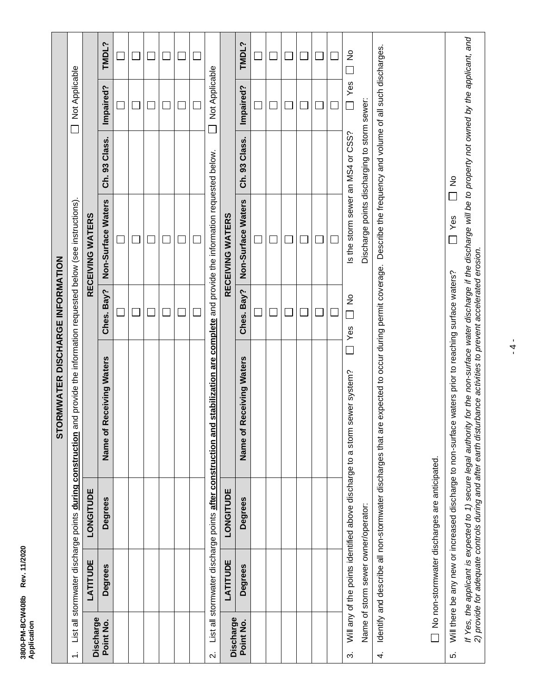| չ<br>٦<br>á                                                                     |  |
|---------------------------------------------------------------------------------|--|
| Ï<br>֪֪֪֪֦֪֪֦֪֪֛֚֝֟֟֝֟֝֟֝֟֝֟֝֟֝֟֝֟֝֟֝֟֟֟֟֝֟֟֟֟֟֟֟֟֟֟֟֟֟֟֟֟֟֟֟֓֟֟<br>i<br>ī<br>J |  |

|                         |                                     |                                                              | STORMWATER DISCHARGE INFORMATION                                                                                                                                                                                                                                                          |                             |                                                                         |                    |                          |               |
|-------------------------|-------------------------------------|--------------------------------------------------------------|-------------------------------------------------------------------------------------------------------------------------------------------------------------------------------------------------------------------------------------------------------------------------------------------|-----------------------------|-------------------------------------------------------------------------|--------------------|--------------------------|---------------|
| $\div$                  |                                     |                                                              | List all stormwater discharge points during construction and provide the information requested below (see instructions).                                                                                                                                                                  |                             |                                                                         |                    | Not Applicable<br>$\Box$ |               |
| Discharge               | LATITUDE                            | LONGITUDE                                                    |                                                                                                                                                                                                                                                                                           |                             | RECEIVING WATERS                                                        |                    |                          |               |
| Point No.               | <b>Degrees</b>                      | <b>Degrees</b>                                               | <b>Receiving Waters</b><br>Name of                                                                                                                                                                                                                                                        | Ches. Bay?                  | Non-Surface Waters                                                      | Class.<br>33<br>ౘ  | Impaired?                | TMDL?         |
|                         |                                     |                                                              |                                                                                                                                                                                                                                                                                           |                             |                                                                         |                    |                          |               |
|                         |                                     |                                                              |                                                                                                                                                                                                                                                                                           |                             |                                                                         |                    |                          |               |
|                         |                                     |                                                              |                                                                                                                                                                                                                                                                                           |                             |                                                                         |                    |                          |               |
|                         |                                     |                                                              |                                                                                                                                                                                                                                                                                           |                             |                                                                         |                    |                          |               |
|                         |                                     |                                                              |                                                                                                                                                                                                                                                                                           |                             |                                                                         |                    |                          |               |
|                         |                                     |                                                              |                                                                                                                                                                                                                                                                                           |                             |                                                                         |                    |                          |               |
| $\overline{\mathbf{v}}$ |                                     | List all stormwater discharge points after construction and  |                                                                                                                                                                                                                                                                                           |                             | stabilization are complete and provide the information requested below. |                    | Not Applicable           |               |
| Discharge               | LATITUDE                            | LONGITUDE                                                    |                                                                                                                                                                                                                                                                                           |                             | RECEIVING WATERS                                                        |                    |                          |               |
| Point No.               | <b>Degrees</b>                      | <b>Degrees</b>                                               | <b>Receiving Waters</b><br>Name of                                                                                                                                                                                                                                                        | Ches. Bay?                  | Non-Surface Waters                                                      | Class.<br>93<br>ຣ໌ | Impaired?                | TMDL?         |
|                         |                                     |                                                              |                                                                                                                                                                                                                                                                                           |                             |                                                                         |                    |                          |               |
|                         |                                     |                                                              |                                                                                                                                                                                                                                                                                           |                             |                                                                         |                    |                          |               |
|                         |                                     |                                                              |                                                                                                                                                                                                                                                                                           | $\mathcal{L}_{\mathcal{A}}$ | $\mathcal{L}_{\mathcal{A}}$                                             |                    |                          | ×.            |
|                         |                                     |                                                              |                                                                                                                                                                                                                                                                                           |                             |                                                                         |                    |                          |               |
|                         |                                     |                                                              |                                                                                                                                                                                                                                                                                           |                             |                                                                         |                    |                          |               |
|                         |                                     |                                                              |                                                                                                                                                                                                                                                                                           |                             |                                                                         |                    |                          |               |
| က်                      |                                     |                                                              | Will any of the points identified above discharge to a storm sewer system?                                                                                                                                                                                                                | $\frac{1}{2}$<br>Yes        | Is the storm sewer an MS4 or CSS?                                       |                    | Yes                      | $\frac{1}{2}$ |
|                         | Name of storm sewer owner/operator: |                                                              |                                                                                                                                                                                                                                                                                           |                             | Discharge points discharging to storm sewer:                            |                    |                          |               |
| 4.                      |                                     | Identify and describe all non-stormwater discharges that are | expected to occur during permit coverage.                                                                                                                                                                                                                                                 |                             | Describe the frequency and volume of all such discharges.               |                    |                          |               |
|                         |                                     | No non-stormwater discharges are anticipated.                |                                                                                                                                                                                                                                                                                           |                             |                                                                         |                    |                          |               |
| ς.                      |                                     |                                                              | Will there be any new or increased discharge to non-surface waters prior to reaching surface waters?                                                                                                                                                                                      |                             | Yes                                                                     | $\frac{1}{2}$      |                          |               |
|                         |                                     |                                                              | If Yes, the applicant is expected to 1) secure legal authority for the non-surface water discharge if the discharge will be to property not owned by the applicant, and<br>2) provide for adequate controls during and after earth disturbance activities to prevent accelerated erosion. |                             |                                                                         |                    |                          |               |